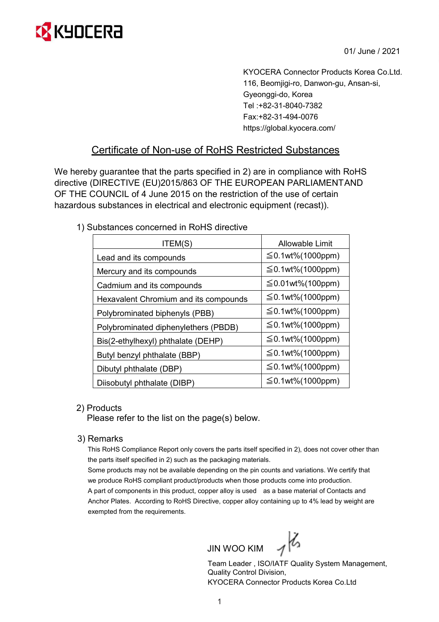

01/ June / 2021

KYOCERA Connector Products Korea Co.Ltd. 116, Beomjigi-ro, Danwon-gu, Ansan-si, Gyeonggi-do, Korea Tel :+82-31-8040-7382 Fax:+82-31-494-0076 https://global.kyocera.com/

## Certificate of Non-use of RoHS Restricted Substances

We hereby guarantee that the parts specified in 2) are in compliance with RoHS directive (DIRECTIVE (EU)2015/863 OF THE EUROPEAN PARLIAMENT AND OF THE COUNCIL of 4 June 2015 on the restriction of the use of certain hazardous substances in electrical and electronic equipment (recast)).

## 1) Substances concerned in RoHS directive

| ITEM(S)                               | <b>Allowable Limit</b> |
|---------------------------------------|------------------------|
| Lead and its compounds                | $≤$ 0.1wt%(1000ppm)    |
| Mercury and its compounds             | $≤$ 0.1wt%(1000ppm)    |
| Cadmium and its compounds             | $≤$ 0.01wt%(100ppm)    |
| Hexavalent Chromium and its compounds | $≤$ 0.1wt%(1000ppm)    |
| Polybrominated biphenyls (PBB)        | $≤$ 0.1wt%(1000ppm)    |
| Polybrominated diphenylethers (PBDB)  | $≤$ 0.1wt%(1000ppm)    |
| Bis(2-ethylhexyl) phthalate (DEHP)    | $≤$ 0.1wt%(1000ppm)    |
| Butyl benzyl phthalate (BBP)          | $≤$ 0.1wt%(1000ppm)    |
| Dibutyl phthalate (DBP)               | $≤$ 0.1wt%(1000ppm)    |
| Diisobutyl phthalate (DIBP)           | $≤$ 0.1wt%(1000ppm)    |

## 2) Products

Please refer to the list on the page(s) below.

3) Remarks

This RoHS Compliance Report only covers the parts itself specified in 2), does not cover other than the parts itself specified in 2) such as the packaging materials.

Some products may not be available depending on the pin counts and variations. We certify that we produce RoHS compliant product/products when those products come into production. A part of components in this product, copper alloy is used as a base material of Contacts and Anchor Plates. According to RoHS Directive, copper alloy containing up to 4% lead by weight are exempted from the requirements.

JIN WOO KIM  $\mathcal{A}$ 

Team Leader , ISO/IATF Quality System Management, Quality Control Division, KYOCERA Connector Products Korea Co.Ltd